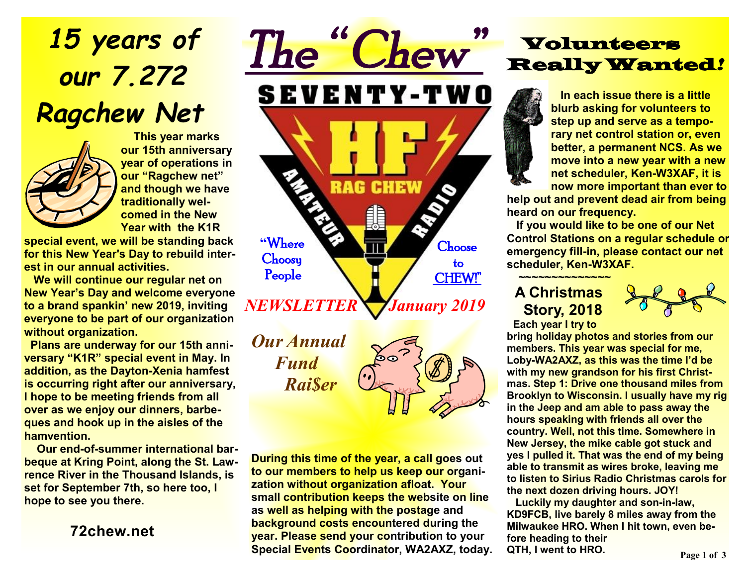# *15 years of our 7.272 Ragchew Net*



 **This year marks our 15th anniversary year of operations in our "Ragchew net" and though we have traditionally welcomed in the New Year with the K1R** 

**special event, we will be standing back for this New Year's Day to rebuild interest in our annual activities.** 

 **We will continue our regular net on New Year's Day and welcome everyone to a brand spankin' new 2019, inviting everyone to be part of our organization without organization.** 

 **Plans are underway for our 15th anniversary "K1R" special event in May. In addition, as the Dayton-Xenia hamfest is occurring right after our anniversary, I hope to be meeting friends from all over as we enjoy our dinners, barbeques and hook up in the aisles of the hamvention.** 

 **Our end-of-summer international barbeque at Kring Point, along the St. Lawrence River in the Thousand Islands, is set for September 7th, so here too, I hope to see you there.** 

**72chew.net**

*The " Chew"*  **SEVENTY-TWO** RAG **CHEW "**Where Choose **Choosy**  to People CHEW!" *NEWSLETTER* *January 2019* 

*Our Annual Fund Rai\$er* 



**During this time of the year, a call goes out to our members to help us keep our organization without organization afloat. Your small contribution keeps the website on line as well as helping with the postage and background costs encountered during the year. Please send your contribution to your Special Events Coordinator, WA2AXZ, today.** 

## Volunteers Really Wanted*!*

 **In each issue there is a little blurb asking for volunteers to step up and serve as a temporary net control station or, even better, a permanent NCS. As we move into a new year with a new net scheduler, Ken-W3XAF, it is now more important than ever to** 

**help out and prevent dead air from being heard on our frequency.** 

 **If you would like to be one of our Net Control Stations on a regular schedule or emergency fill-in, please contact our net scheduler, Ken-W3XAF.** 

**~~~~~~~~~~~~~~ A Christmas Story, 2018** 



**Each year I try to** 

**bring holiday photos and stories from our members. This year was special for me, Loby-WA2AXZ, as this was the time I'd be with my new grandson for his first Christmas. Step 1: Drive one thousand miles from Brooklyn to Wisconsin. I usually have my rig in the Jeep and am able to pass away the hours speaking with friends all over the country. Well, not this time. Somewhere in New Jersey, the mike cable got stuck and yes I pulled it. That was the end of my being able to transmit as wires broke, leaving me to listen to Sirius Radio Christmas carols for the next dozen driving hours. JOY!** 

**Luckily my daughter and son-in-law, KD9FCB, live barely 8 miles away from the Milwaukee HRO. When I hit town, even before heading to their QTH, I went to HRO.**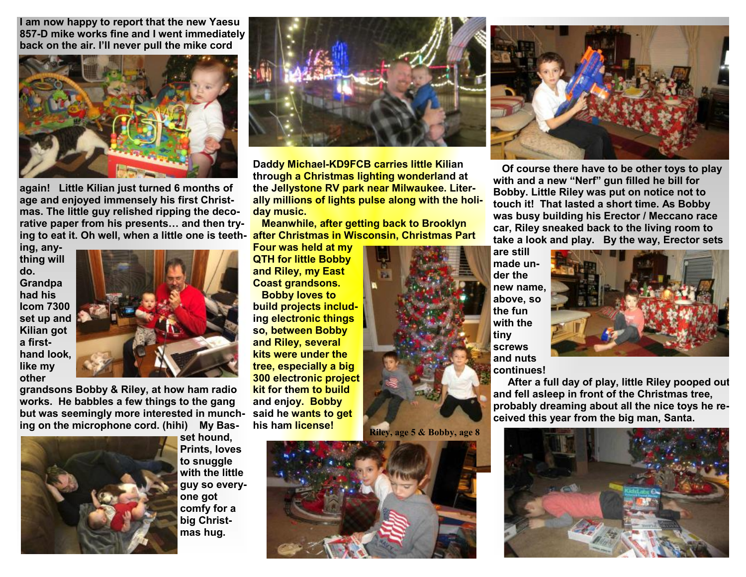**I am now happy to report that the new Yaesu 857-D mike works fine and I went immediately back on the air. I'll never pull the mike cord** 



**after Christmas in Wisconsin, Christmas Part ing to eat it. Oh well, when a little one is teethagain! Little Kilian just turned 6 months of age and enjoyed immensely his first Christmas. The little guy relished ripping the decorative paper from his presents… and then try-**

**ing, anything will do. Grandpa had his Icom 7300 set up and Kilian got a firsthand look, like my other** 



**grandsons Bobby & Riley, at how ham radio works. He babbles a few things to the gang but was seemingly more interested in munching on the microphone cord. (hihi) My Bas-**



**set hound, Prints, loves to snuggle with the little guy so everyone got comfy for a big Christmas hug.** 



**Daddy Michael-KD9FCB carries little Kilian through a Christmas lighting wonderland at the Jellystone RV park near Milwaukee. Literally millions of lights pulse along with the holiday music.** 

 **Meanwhile, after getting back to Brooklyn** 

**Four was held at my QTH for little Bobby and Riley, my East Coast grandsons.** 

**Bobby loves to build projects including electronic things so, between Bobby and Riley, several kits were under the tree, especially a big 300 electronic project kit for them to build and enjoy. Bobby said he wants to get his ham license!** 







**Of course there have to be other toys to play with and a new "Nerf" gun filled he bill for Bobby. Little Riley was put on notice not to touch it! That lasted a short time. As Bobby was busy building his Erector / Meccano race car, Riley sneaked back to the living room to take a look and play. By the way, Erector sets** 

**are still made under the new name, above, so the fun with the tiny screws and nuts continues!** 



**After a full day of play, little Riley pooped out and fell asleep in front of the Christmas tree, probably dreaming about all the nice toys he received this year from the big man, Santa.**